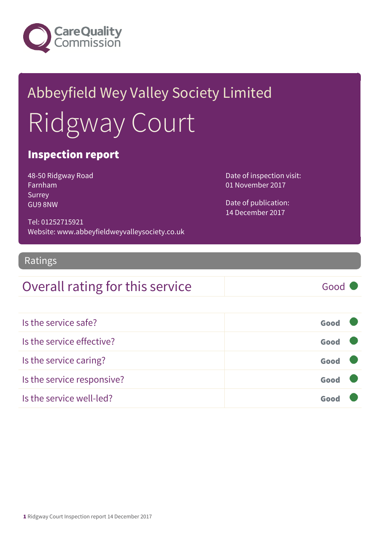

# Abbeyfield Wey Valley Society Limited Ridgway Court

#### Inspection report

48-50 Ridgway Road Farnham Surrey GU9 8NW

Date of inspection visit: 01 November 2017

Date of publication: 14 December 2017

Tel: 01252715921 Website: www.abbeyfieldweyvalleysociety.co.uk

#### Ratings

### Overall rating for this service Good

| Is the service safe?       | Good |  |
|----------------------------|------|--|
| Is the service effective?  | Good |  |
| Is the service caring?     | Good |  |
| Is the service responsive? | Good |  |
| Is the service well-led?   |      |  |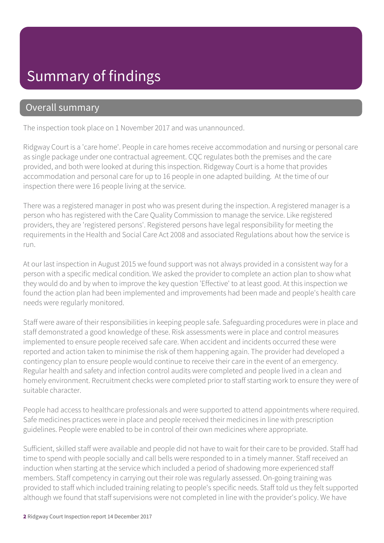### Summary of findings

#### Overall summary

The inspection took place on 1 November 2017 and was unannounced.

Ridgway Court is a 'care home'. People in care homes receive accommodation and nursing or personal care as single package under one contractual agreement. CQC regulates both the premises and the care provided, and both were looked at during this inspection. Ridgeway Court is a home that provides accommodation and personal care for up to 16 people in one adapted building. At the time of our inspection there were 16 people living at the service.

There was a registered manager in post who was present during the inspection. A registered manager is a person who has registered with the Care Quality Commission to manage the service. Like registered providers, they are 'registered persons'. Registered persons have legal responsibility for meeting the requirements in the Health and Social Care Act 2008 and associated Regulations about how the service is run.

At our last inspection in August 2015 we found support was not always provided in a consistent way for a person with a specific medical condition. We asked the provider to complete an action plan to show what they would do and by when to improve the key question 'Effective' to at least good. At this inspection we found the action plan had been implemented and improvements had been made and people's health care needs were regularly monitored.

Staff were aware of their responsibilities in keeping people safe. Safeguarding procedures were in place and staff demonstrated a good knowledge of these. Risk assessments were in place and control measures implemented to ensure people received safe care. When accident and incidents occurred these were reported and action taken to minimise the risk of them happening again. The provider had developed a contingency plan to ensure people would continue to receive their care in the event of an emergency. Regular health and safety and infection control audits were completed and people lived in a clean and homely environment. Recruitment checks were completed prior to staff starting work to ensure they were of suitable character.

People had access to healthcare professionals and were supported to attend appointments where required. Safe medicines practices were in place and people received their medicines in line with prescription guidelines. People were enabled to be in control of their own medicines where appropriate.

Sufficient, skilled staff were available and people did not have to wait for their care to be provided. Staff had time to spend with people socially and call bells were responded to in a timely manner. Staff received an induction when starting at the service which included a period of shadowing more experienced staff members. Staff competency in carrying out their role was regularly assessed. On-going training was provided to staff which included training relating to people's specific needs. Staff told us they felt supported although we found that staff supervisions were not completed in line with the provider's policy. We have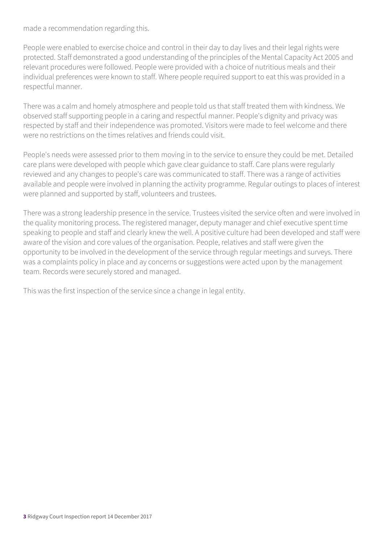made a recommendation regarding this.

People were enabled to exercise choice and control in their day to day lives and their legal rights were protected. Staff demonstrated a good understanding of the principles of the Mental Capacity Act 2005 and relevant procedures were followed. People were provided with a choice of nutritious meals and their individual preferences were known to staff. Where people required support to eat this was provided in a respectful manner.

There was a calm and homely atmosphere and people told us that staff treated them with kindness. We observed staff supporting people in a caring and respectful manner. People's dignity and privacy was respected by staff and their independence was promoted. Visitors were made to feel welcome and there were no restrictions on the times relatives and friends could visit.

People's needs were assessed prior to them moving in to the service to ensure they could be met. Detailed care plans were developed with people which gave clear guidance to staff. Care plans were regularly reviewed and any changes to people's care was communicated to staff. There was a range of activities available and people were involved in planning the activity programme. Regular outings to places of interest were planned and supported by staff, volunteers and trustees.

There was a strong leadership presence in the service. Trustees visited the service often and were involved in the quality monitoring process. The registered manager, deputy manager and chief executive spent time speaking to people and staff and clearly knew the well. A positive culture had been developed and staff were aware of the vision and core values of the organisation. People, relatives and staff were given the opportunity to be involved in the development of the service through regular meetings and surveys. There was a complaints policy in place and ay concerns or suggestions were acted upon by the management team. Records were securely stored and managed.

This was the first inspection of the service since a change in legal entity.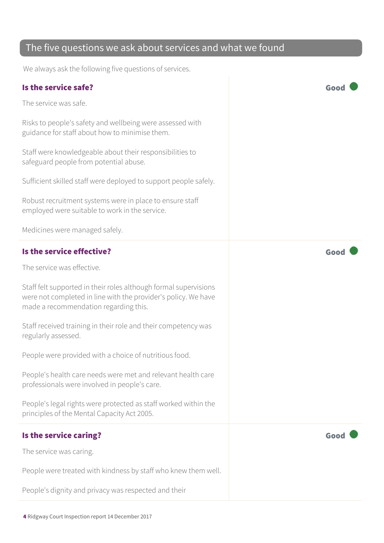#### The five questions we ask about services and what we found

We always ask the following five questions of services.

#### Is the service safe? Good

The service was safe.

Risks to people's safety and wellbeing were assessed with guidance for staff about how to minimise them.

Staff were knowledgeable about their responsibilities to safeguard people from potential abuse.

Sufficient skilled staff were deployed to support people safely.

Robust recruitment systems were in place to ensure staff employed were suitable to work in the service.

Medicines were managed safely.

#### Is the service effective? Good

The service was effective.

Staff felt supported in their roles although formal supervisions were not completed in line with the provider's policy. We have made a recommendation regarding this.

Staff received training in their role and their competency was regularly assessed.

People were provided with a choice of nutritious food.

People's health care needs were met and relevant health care professionals were involved in people's care.

People's legal rights were protected as staff worked within the principles of the Mental Capacity Act 2005.

#### Is the service caring? The service caring?

The service was caring.

People were treated with kindness by staff who knew them well.

People's dignity and privacy was respected and their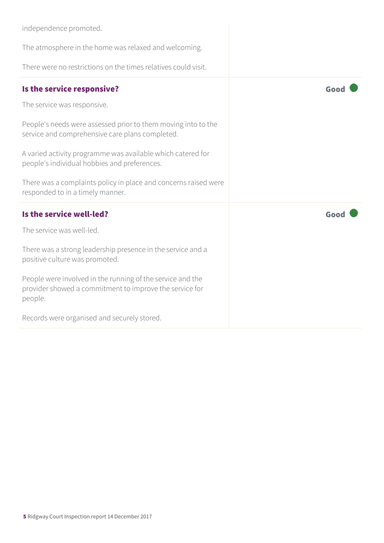| independence promoted.                                                                                                           |      |
|----------------------------------------------------------------------------------------------------------------------------------|------|
| The atmosphere in the home was relaxed and welcoming.                                                                            |      |
| There were no restrictions on the times relatives could visit.                                                                   |      |
| Is the service responsive?                                                                                                       | Good |
| The service was responsive.                                                                                                      |      |
| People's needs were assessed prior to them moving into to the<br>service and comprehensive care plans completed.                 |      |
| A varied activity programme was available which catered for<br>people's individual hobbies and preferences.                      |      |
| There was a complaints policy in place and concerns raised were<br>responded to in a timely manner.                              |      |
| Is the service well-led?                                                                                                         | Good |
| The service was well-led.                                                                                                        |      |
| There was a strong leadership presence in the service and a<br>positive culture was promoted.                                    |      |
| People were involved in the running of the service and the<br>provider showed a commitment to improve the service for<br>people. |      |
| Records were organised and securely stored.                                                                                      |      |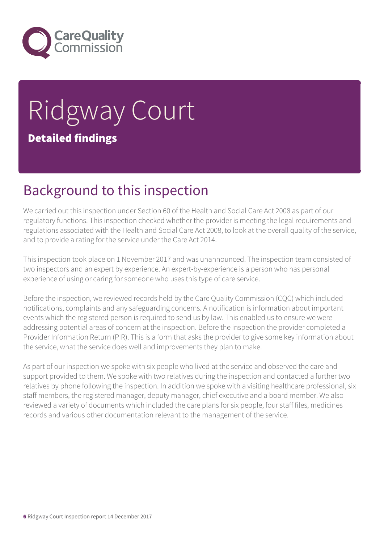

## Ridgway Court Detailed findings

### Background to this inspection

We carried out this inspection under Section 60 of the Health and Social Care Act 2008 as part of our regulatory functions. This inspection checked whether the provider is meeting the legal requirements and regulations associated with the Health and Social Care Act 2008, to look at the overall quality of the service, and to provide a rating for the service under the Care Act 2014.

This inspection took place on 1 November 2017 and was unannounced. The inspection team consisted of two inspectors and an expert by experience. An expert-by-experience is a person who has personal experience of using or caring for someone who uses this type of care service.

Before the inspection, we reviewed records held by the Care Quality Commission (CQC) which included notifications, complaints and any safeguarding concerns. A notification is information about important events which the registered person is required to send us by law. This enabled us to ensure we were addressing potential areas of concern at the inspection. Before the inspection the provider completed a Provider Information Return (PIR). This is a form that asks the provider to give some key information about the service, what the service does well and improvements they plan to make.

As part of our inspection we spoke with six people who lived at the service and observed the care and support provided to them. We spoke with two relatives during the inspection and contacted a further two relatives by phone following the inspection. In addition we spoke with a visiting healthcare professional, six staff members, the registered manager, deputy manager, chief executive and a board member. We also reviewed a variety of documents which included the care plans for six people, four staff files, medicines records and various other documentation relevant to the management of the service.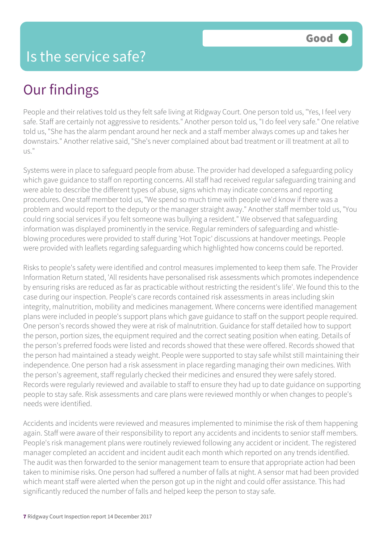People and their relatives told us they felt safe living at Ridgway Court. One person told us, "Yes, I feel very safe. Staff are certainly not aggressive to residents." Another person told us, "I do feel very safe." One relative told us, "She has the alarm pendant around her neck and a staff member always comes up and takes her downstairs." Another relative said, "She's never complained about bad treatment or ill treatment at all to us."

Systems were in place to safeguard people from abuse. The provider had developed a safeguarding policy which gave guidance to staff on reporting concerns. All staff had received regular safeguarding training and were able to describe the different types of abuse, signs which may indicate concerns and reporting procedures. One staff member told us, "We spend so much time with people we'd know if there was a problem and would report to the deputy or the manager straight away." Another staff member told us, "You could ring social services if you felt someone was bullying a resident." We observed that safeguarding information was displayed prominently in the service. Regular reminders of safeguarding and whistleblowing procedures were provided to staff during 'Hot Topic' discussions at handover meetings. People were provided with leaflets regarding safeguarding which highlighted how concerns could be reported.

Risks to people's safety were identified and control measures implemented to keep them safe. The Provider Information Return stated, 'All residents have personalised risk assessments which promotes independence by ensuring risks are reduced as far as practicable without restricting the resident's life'. We found this to the case during our inspection. People's care records contained risk assessments in areas including skin integrity, malnutrition, mobility and medicines management. Where concerns were identified management plans were included in people's support plans which gave guidance to staff on the support people required. One person's records showed they were at risk of malnutrition. Guidance for staff detailed how to support the person, portion sizes, the equipment required and the correct seating position when eating. Details of the person's preferred foods were listed and records showed that these were offered. Records showed that the person had maintained a steady weight. People were supported to stay safe whilst still maintaining their independence. One person had a risk assessment in place regarding managing their own medicines. With the person's agreement, staff regularly checked their medicines and ensured they were safely stored. Records were regularly reviewed and available to staff to ensure they had up to date guidance on supporting people to stay safe. Risk assessments and care plans were reviewed monthly or when changes to people's needs were identified.

Accidents and incidents were reviewed and measures implemented to minimise the risk of them happening again. Staff were aware of their responsibility to report any accidents and incidents to senior staff members. People's risk management plans were routinely reviewed following any accident or incident. The registered manager completed an accident and incident audit each month which reported on any trends identified. The audit was then forwarded to the senior management team to ensure that appropriate action had been taken to minimise risks. One person had suffered a number of falls at night. A sensor mat had been provided which meant staff were alerted when the person got up in the night and could offer assistance. This had significantly reduced the number of falls and helped keep the person to stay safe.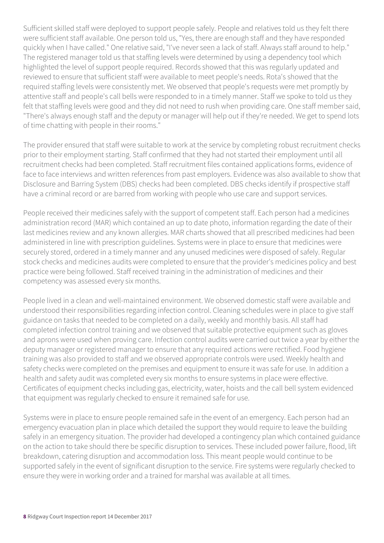Sufficient skilled staff were deployed to support people safely. People and relatives told us they felt there were sufficient staff available. One person told us, "Yes, there are enough staff and they have responded quickly when I have called." One relative said, "I've never seen a lack of staff. Always staff around to help." The registered manager told us that staffing levels were determined by using a dependency tool which highlighted the level of support people required. Records showed that this was regularly updated and reviewed to ensure that sufficient staff were available to meet people's needs. Rota's showed that the required staffing levels were consistently met. We observed that people's requests were met promptly by attentive staff and people's call bells were responded to in a timely manner. Staff we spoke to told us they felt that staffing levels were good and they did not need to rush when providing care. One staff member said, "There's always enough staff and the deputy or manager will help out if they're needed. We get to spend lots of time chatting with people in their rooms."

The provider ensured that staff were suitable to work at the service by completing robust recruitment checks prior to their employment starting. Staff confirmed that they had not started their employment until all recruitment checks had been completed. Staff recruitment files contained applications forms, evidence of face to face interviews and written references from past employers. Evidence was also available to show that Disclosure and Barring System (DBS) checks had been completed. DBS checks identify if prospective staff have a criminal record or are barred from working with people who use care and support services.

People received their medicines safely with the support of competent staff. Each person had a medicines administration record (MAR) which contained an up to date photo, information regarding the date of their last medicines review and any known allergies. MAR charts showed that all prescribed medicines had been administered in line with prescription guidelines. Systems were in place to ensure that medicines were securely stored, ordered in a timely manner and any unused medicines were disposed of safely. Regular stock checks and medicines audits were completed to ensure that the provider's medicines policy and best practice were being followed. Staff received training in the administration of medicines and their competency was assessed every six months.

People lived in a clean and well-maintained environment. We observed domestic staff were available and understood their responsibilities regarding infection control. Cleaning schedules were in place to give staff guidance on tasks that needed to be completed on a daily, weekly and monthly basis. All staff had completed infection control training and we observed that suitable protective equipment such as gloves and aprons were used when proving care. Infection control audits were carried out twice a year by either the deputy manager or registered manager to ensure that any required actions were rectified. Food hygiene training was also provided to staff and we observed appropriate controls were used. Weekly health and safety checks were completed on the premises and equipment to ensure it was safe for use. In addition a health and safety audit was completed every six months to ensure systems in place were effective. Certificates of equipment checks including gas, electricity, water, hoists and the call bell system evidenced that equipment was regularly checked to ensure it remained safe for use.

Systems were in place to ensure people remained safe in the event of an emergency. Each person had an emergency evacuation plan in place which detailed the support they would require to leave the building safely in an emergency situation. The provider had developed a contingency plan which contained guidance on the action to take should there be specific disruption to services. These included power failure, flood, lift breakdown, catering disruption and accommodation loss. This meant people would continue to be supported safely in the event of significant disruption to the service. Fire systems were regularly checked to ensure they were in working order and a trained for marshal was available at all times.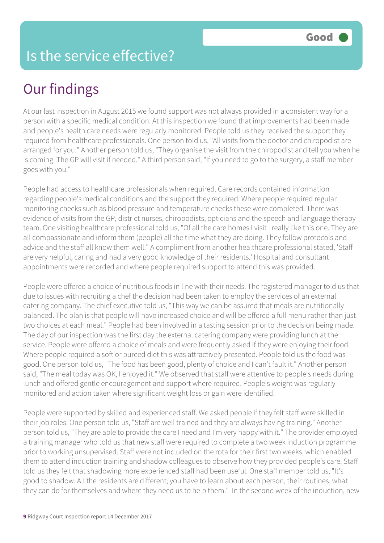At our last inspection in August 2015 we found support was not always provided in a consistent way for a person with a specific medical condition. At this inspection we found that improvements had been made and people's health care needs were regularly monitored. People told us they received the support they required from healthcare professionals. One person told us, "All visits from the doctor and chiropodist are arranged for you." Another person told us, "They organise the visit from the chiropodist and tell you when he is coming. The GP will visit if needed." A third person said, "If you need to go to the surgery, a staff member goes with you."

People had access to healthcare professionals when required. Care records contained information regarding people's medical conditions and the support they required. Where people required regular monitoring checks such as blood pressure and temperature checks these were completed. There was evidence of visits from the GP, district nurses, chiropodists, opticians and the speech and language therapy team. One visiting healthcare professional told us, "Of all the care homes I visit I really like this one. They are all compassionate and inform them (people) all the time what they are doing. They follow protocols and advice and the staff all know them well." A compliment from another healthcare professional stated, 'Staff are very helpful, caring and had a very good knowledge of their residents.' Hospital and consultant appointments were recorded and where people required support to attend this was provided.

People were offered a choice of nutritious foods in line with their needs. The registered manager told us that due to issues with recruiting a chef the decision had been taken to employ the services of an external catering company. The chief executive told us, "This way we can be assured that meals are nutritionally balanced. The plan is that people will have increased choice and will be offered a full menu rather than just two choices at each meal." People had been involved in a tasting session prior to the decision being made. The day of our inspection was the first day the external catering company were providing lunch at the service. People were offered a choice of meals and were frequently asked if they were enjoying their food. Where people required a soft or pureed diet this was attractively presented. People told us the food was good. One person told us, "The food has been good, plenty of choice and I can't fault it." Another person said, "The meal today was OK, I enjoyed it." We observed that staff were attentive to people's needs during lunch and offered gentle encouragement and support where required. People's weight was regularly monitored and action taken where significant weight loss or gain were identified.

People were supported by skilled and experienced staff. We asked people if they felt staff were skilled in their job roles. One person told us, "Staff are well trained and they are always having training." Another person told us, "They are able to provide the care I need and I'm very happy with it." The provider employed a training manager who told us that new staff were required to complete a two week induction programme prior to working unsupervised. Staff were not included on the rota for their first two weeks, which enabled them to attend induction training and shadow colleagues to observe how they provided people's care. Staff told us they felt that shadowing more experienced staff had been useful. One staff member told us, "It's good to shadow. All the residents are different; you have to learn about each person, their routines, what they can do for themselves and where they need us to help them." In the second week of the induction, new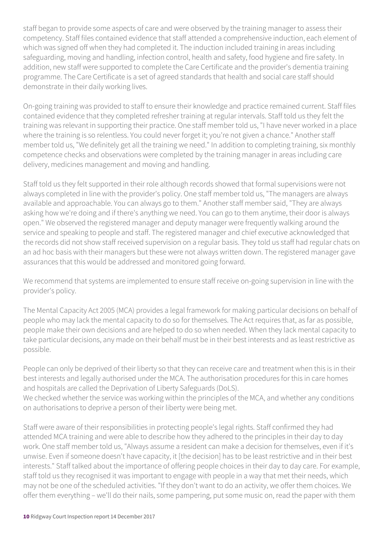staff began to provide some aspects of care and were observed by the training manager to assess their competency. Staff files contained evidence that staff attended a comprehensive induction, each element of which was signed off when they had completed it. The induction included training in areas including safeguarding, moving and handling, infection control, health and safety, food hygiene and fire safety. In addition, new staff were supported to complete the Care Certificate and the provider's dementia training programme. The Care Certificate is a set of agreed standards that health and social care staff should demonstrate in their daily working lives.

On-going training was provided to staff to ensure their knowledge and practice remained current. Staff files contained evidence that they completed refresher training at regular intervals. Staff told us they felt the training was relevant in supporting their practice. One staff member told us, "I have never worked in a place where the training is so relentless. You could never forget it; you're not given a chance." Another staff member told us, "We definitely get all the training we need." In addition to completing training, six monthly competence checks and observations were completed by the training manager in areas including care delivery, medicines management and moving and handling.

Staff told us they felt supported in their role although records showed that formal supervisions were not always completed in line with the provider's policy. One staff member told us, "The managers are always available and approachable. You can always go to them." Another staff member said, "They are always asking how we're doing and if there's anything we need. You can go to them anytime, their door is always open." We observed the registered manager and deputy manager were frequently walking around the service and speaking to people and staff. The registered manager and chief executive acknowledged that the records did not show staff received supervision on a regular basis. They told us staff had regular chats on an ad hoc basis with their managers but these were not always written down. The registered manager gave assurances that this would be addressed and monitored going forward.

We recommend that systems are implemented to ensure staff receive on-going supervision in line with the provider's policy.

The Mental Capacity Act 2005 (MCA) provides a legal framework for making particular decisions on behalf of people who may lack the mental capacity to do so for themselves. The Act requires that, as far as possible, people make their own decisions and are helped to do so when needed. When they lack mental capacity to take particular decisions, any made on their behalf must be in their best interests and as least restrictive as possible.

People can only be deprived of their liberty so that they can receive care and treatment when this is in their best interests and legally authorised under the MCA. The authorisation procedures for this in care homes and hospitals are called the Deprivation of Liberty Safeguards (DoLS).

We checked whether the service was working within the principles of the MCA, and whether any conditions on authorisations to deprive a person of their liberty were being met.

Staff were aware of their responsibilities in protecting people's legal rights. Staff confirmed they had attended MCA training and were able to describe how they adhered to the principles in their day to day work. One staff member told us, "Always assume a resident can make a decision for themselves, even if it's unwise. Even if someone doesn't have capacity, it [the decision] has to be least restrictive and in their best interests." Staff talked about the importance of offering people choices in their day to day care. For example, staff told us they recognised it was important to engage with people in a way that met their needs, which may not be one of the scheduled activities. "If they don't want to do an activity, we offer them choices. We offer them everything – we'll do their nails, some pampering, put some music on, read the paper with them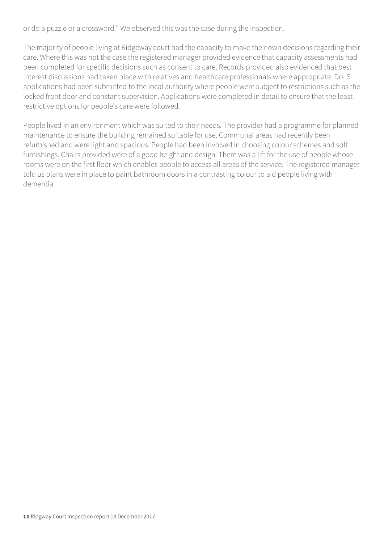or do a puzzle or a crossword." We observed this was the case during the inspection.

The majority of people living at Ridgeway court had the capacity to make their own decisions regarding their care. Where this was not the case the registered manager provided evidence that capacity assessments had been completed for specific decisions such as consent to care. Records provided also evidenced that best interest discussions had taken place with relatives and healthcare professionals where appropriate. DoLS applications had been submitted to the local authority where people were subject to restrictions such as the locked front door and constant supervision. Applications were completed in detail to ensure that the least restrictive options for people's care were followed.

People lived in an environment which was suited to their needs. The provider had a programme for planned maintenance to ensure the building remained suitable for use. Communal areas had recently been refurbished and were light and spacious. People had been involved in choosing colour schemes and soft furnishings. Chairs provided were of a good height and design. There was a lift for the use of people whose rooms were on the first floor which enables people to access all areas of the service. The registered manager told us plans were in place to paint bathroom doors in a contrasting colour to aid people living with dementia.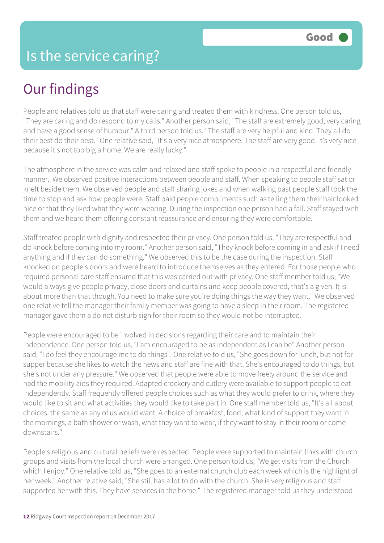People and relatives told us that staff were caring and treated them with kindness. One person told us, "They are caring and do respond to my calls." Another person said, "The staff are extremely good, very caring and have a good sense of humour." A third person told us, "The staff are very helpful and kind. They all do their best do their best." One relative said, "It's a very nice atmosphere. The staff are very good. It's very nice because it's not too big a home. We are really lucky."

The atmosphere in the service was calm and relaxed and staff spoke to people in a respectful and friendly manner. We observed positive interactions between people and staff. When speaking to people staff sat or knelt beside them. We observed people and staff sharing jokes and when walking past people staff took the time to stop and ask how people were. Staff paid people compliments such as telling them their hair looked nice or that they liked what they were wearing. During the inspection one person had a fall. Staff stayed with them and we heard them offering constant reassurance and ensuring they were comfortable.

Staff treated people with dignity and respected their privacy. One person told us, "They are respectful and do knock before coming into my room." Another person said, "They knock before coming in and ask if I need anything and if they can do something." We observed this to be the case during the inspection. Staff knocked on people's doors and were heard to introduce themselves as they entered. For those people who required personal care staff ensured that this was carried out with privacy. One staff member told us, "We would always give people privacy, close doors and curtains and keep people covered, that's a given. It is about more than that though. You need to make sure you're doing things the way they want." We observed one relative tell the manager their family member was going to have a sleep in their room. The registered manager gave them a do not disturb sign for their room so they would not be interrupted.

People were encouraged to be involved in decisions regarding their care and to maintain their independence. One person told us, "I am encouraged to be as independent as I can be" Another person said, "I do feel they encourage me to do things". One relative told us, "She goes down for lunch, but not for supper because she likes to watch the news and staff are fine with that. She's encouraged to do things, but she's not under any pressure." We observed that people were able to move freely around the service and had the mobility aids they required. Adapted crockery and cutlery were available to support people to eat independently. Staff frequently offered people choices such as what they would prefer to drink, where they would like to sit and what activities they would like to take part in. One staff member told us, "It's all about choices, the same as any of us would want. A choice of breakfast, food, what kind of support they want in the mornings, a bath shower or wash, what they want to wear, if they want to stay in their room or come downstairs."

People's religious and cultural beliefs were respected. People were supported to maintain links with church groups and visits from the local church were arranged. One person told us, "We get visits from the Church which I enjoy." One relative told us, "She goes to an external church club each week which is the highlight of her week." Another relative said, "She still has a lot to do with the church. She is very religious and staff supported her with this. They have services in the home." The registered manager told us they understood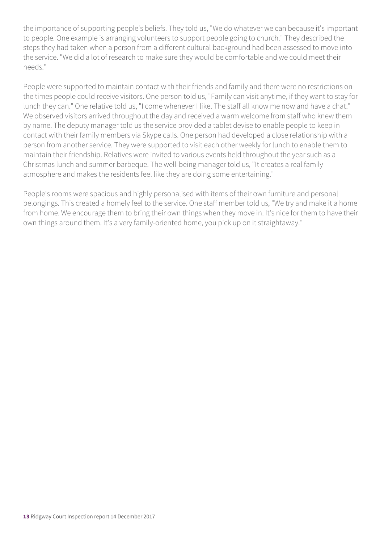the importance of supporting people's beliefs. They told us, "We do whatever we can because it's important to people. One example is arranging volunteers to support people going to church." They described the steps they had taken when a person from a different cultural background had been assessed to move into the service. "We did a lot of research to make sure they would be comfortable and we could meet their needs."

People were supported to maintain contact with their friends and family and there were no restrictions on the times people could receive visitors. One person told us, "Family can visit anytime, if they want to stay for lunch they can." One relative told us, "I come whenever I like. The staff all know me now and have a chat." We observed visitors arrived throughout the day and received a warm welcome from staff who knew them by name. The deputy manager told us the service provided a tablet devise to enable people to keep in contact with their family members via Skype calls. One person had developed a close relationship with a person from another service. They were supported to visit each other weekly for lunch to enable them to maintain their friendship. Relatives were invited to various events held throughout the year such as a Christmas lunch and summer barbeque. The well-being manager told us, "It creates a real family atmosphere and makes the residents feel like they are doing some entertaining."

People's rooms were spacious and highly personalised with items of their own furniture and personal belongings. This created a homely feel to the service. One staff member told us, "We try and make it a home from home. We encourage them to bring their own things when they move in. It's nice for them to have their own things around them. It's a very family-oriented home, you pick up on it straightaway."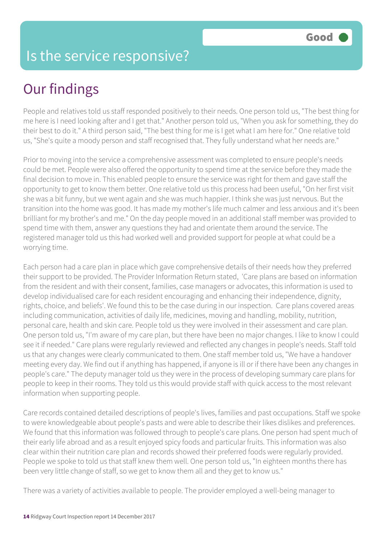### Is the service responsive?

### Our findings

People and relatives told us staff responded positively to their needs. One person told us, "The best thing for me here is I need looking after and I get that." Another person told us, "When you ask for something, they do their best to do it." A third person said, "The best thing for me is I get what I am here for." One relative told us, "She's quite a moody person and staff recognised that. They fully understand what her needs are."

Prior to moving into the service a comprehensive assessment was completed to ensure people's needs could be met. People were also offered the opportunity to spend time at the service before they made the final decision to move in. This enabled people to ensure the service was right for them and gave staff the opportunity to get to know them better. One relative told us this process had been useful, "On her first visit she was a bit funny, but we went again and she was much happier. I think she was just nervous. But the transition into the home was good. It has made my mother's life much calmer and less anxious and it's been brilliant for my brother's and me." On the day people moved in an additional staff member was provided to spend time with them, answer any questions they had and orientate them around the service. The registered manager told us this had worked well and provided support for people at what could be a worrying time.

Each person had a care plan in place which gave comprehensive details of their needs how they preferred their support to be provided. The Provider Information Return stated, 'Care plans are based on information from the resident and with their consent, families, case managers or advocates, this information is used to develop individualised care for each resident encouraging and enhancing their independence, dignity, rights, choice, and beliefs'. We found this to be the case during in our inspection. Care plans covered areas including communication, activities of daily life, medicines, moving and handling, mobility, nutrition, personal care, health and skin care. People told us they were involved in their assessment and care plan. One person told us, "I'm aware of my care plan, but there have been no major changes. I like to know I could see it if needed." Care plans were regularly reviewed and reflected any changes in people's needs. Staff told us that any changes were clearly communicated to them. One staff member told us, "We have a handover meeting every day. We find out if anything has happened, if anyone is ill or if there have been any changes in people's care." The deputy manager told us they were in the process of developing summary care plans for people to keep in their rooms. They told us this would provide staff with quick access to the most relevant information when supporting people.

Care records contained detailed descriptions of people's lives, families and past occupations. Staff we spoke to were knowledgeable about people's pasts and were able to describe their likes dislikes and preferences. We found that this information was followed through to people's care plans. One person had spent much of their early life abroad and as a result enjoyed spicy foods and particular fruits. This information was also clear within their nutrition care plan and records showed their preferred foods were regularly provided. People we spoke to told us that staff knew them well. One person told us, "In eighteen months there has been very little change of staff, so we get to know them all and they get to know us."

There was a variety of activities available to people. The provider employed a well-being manager to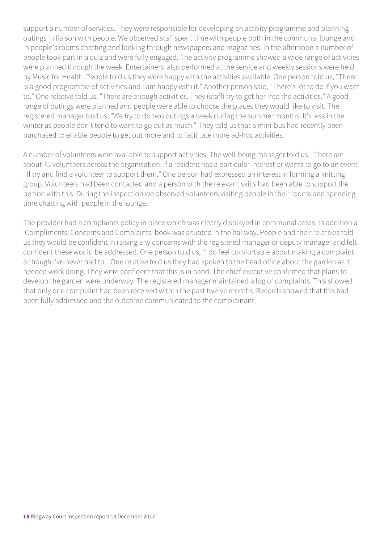support a number of services. They were responsible for developing an activity programme and planning outings in liaison with people. We observed staff spent time with people both in the communal lounge and in people's rooms chatting and looking through newspapers and magazines. In the afternoon a number of people took part in a quiz and were fully engaged. The activity programme showed a wide range of activities were planned through the week. Entertainers also performed at the service and weekly sessions were held by Music for Health. People told us they were happy with the activities available. One person told us, "There is a good programme of activities and I am happy with it." Another person said, "There's lot to do if you want to." One relative told us, "There are enough activities. They (staff) try to get her into the activities." A good range of outings were planned and people were able to choose the places they would like to visit. The registered manager told us, "We try to do two outings a week during the summer months. It's less in the winter as people don't tend to want to go out as much." They told us that a mini-bus had recently been purchased to enable people to get out more and to facilitate more ad-hoc activities.

A number of volunteers were available to support activities. The well-being manager told us, "There are about 75 volunteers across the organisation. If a resident has a particular interest or wants to go to an event I'll try and find a volunteer to support them." One person had expressed an interest in forming a knitting group. Volunteers had been contacted and a person with the relevant skills had been able to support the person with this. During the inspection we observed volunteers visiting people in their rooms and spending time chatting with people in the lounge.

The provider had a complaints policy in place which was clearly displayed in communal areas. In addition a 'Compliments, Concerns and Complaints' book was situated in the hallway. People and their relatives told us they would be confident in raising any concerns with the registered manager or deputy manager and felt confident these would be addressed. One person told us, "I do feel comfortable about making a complaint although I've never had to." One relative told us they had spoken to the head office about the garden as it needed work doing. They were confident that this is in hand. The chief executive confirmed that plans to develop the garden were underway. The registered manager maintained a log of complaints. This showed that only one complaint had been received within the past twelve months. Records showed that this had been fully addressed and the outcome communicated to the complainant.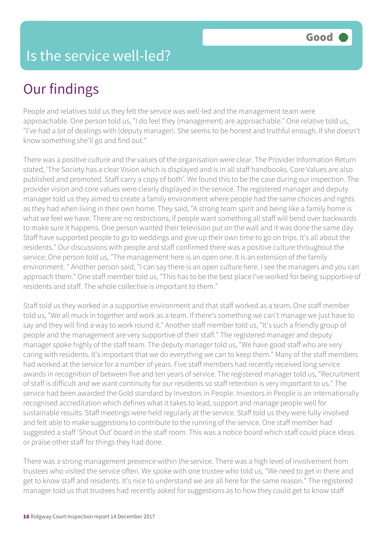People and relatives told us they felt the service was well-led and the management team were approachable. One person told us, "I do feel they (management) are approachable." One relative told us, "I've had a lot of dealings with (deputy manager). She seems to be honest and truthful enough. If she doesn't know something she'll go and find out."

There was a positive culture and the values of the organisation were clear. The Provider Information Return stated, 'The Society has a clear Vision which is displayed and is in all staff handbooks. Core Values are also published and promoted. Staff carry a copy of both'. We found this to be the case during our inspection. The provider vision and core values were clearly displayed in the service. The registered manager and deputy manager told us they aimed to create a family environment where people had the same choices and rights as they had when living in their own home. They said, "A strong team spirit and being like a family home is what we feel we have. There are no restrictions, if people want something all staff will bend over backwards to make sure it happens. One person wanted their television put on the wall and it was done the same day. Staff have supported people to go to weddings and give up their own time to go on trips. It's all about the residents." Our discussions with people and staff confirmed there was a positive culture throughout the service. One person told us, "The management here is an open one. It is an extension of the family environment. " Another person said, "I can say there is an open culture here. I see the managers and you can approach them." One staff member told us, "This has to be the best place I've worked for being supportive of residents and staff. The whole collective is important to them."

Staff told us they worked in a supportive environment and that staff worked as a team. One staff member told us, "We all muck in together and work as a team. If there's something we can't manage we just have to say and they will find a way to work round it." Another staff member told us, "It's such a friendly group of people and the management are very supportive of their staff." The registered manager and deputy manager spoke highly of the staff team. The deputy manager told us, "We have good staff who are very caring with residents. It's important that we do everything we can to keep them." Many of the staff members had worked at the service for a number of years. Five staff members had recently received long service awards in recognition of between five and ten years of service. The registered manager told us, "Recruitment of staff is difficult and we want continuity for our residents so staff retention is very important to us." The service had been awarded the Gold standard by Investors in People. Investors in People is an internationally recognised accreditation which defines what it takes to lead, support and manage people well for sustainable results. Staff meetings were held regularly at the service. Staff told us they were fully involved and felt able to make suggestions to contribute to the running of the service. One staff member had suggested a staff 'Shout Out' board in the staff room. This was a notice board which staff could place ideas or praise other staff for things they had done.

There was a strong management presence within the service. There was a high level of involvement from trustees who visited the service often. We spoke with one trustee who told us, "We need to get in there and get to know staff and residents. It's nice to understand we are all here for the same reason." The registered manager told us that trustees had recently asked for suggestions as to how they could get to know staff